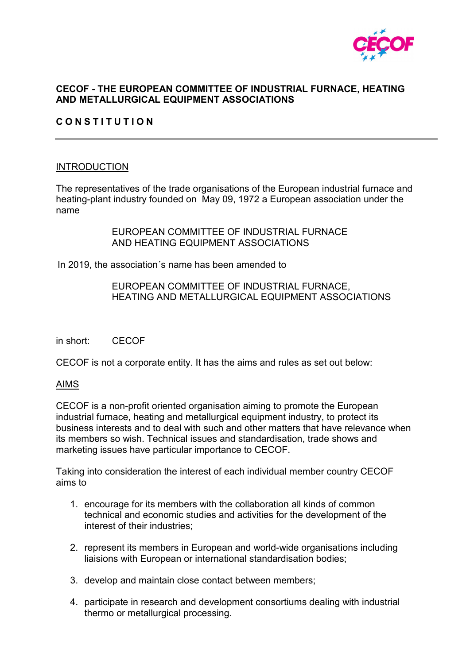

## **CECOF - THE EUROPEAN COMMITTEE OF INDUSTRIAL FURNACE, HEATING AND METALLURGICAL EQUIPMENT ASSOCIATIONS**

# **CONSTITUTION**

### **INTRODUCTION**

The representatives of the trade organisations of the European industrial furnace and heating-plant industry founded on May 09, 1972 a European association under the name

> EUROPEAN COMMITTEE OF INDUSTRIAL FURNACE AND HEATING EQUIPMENT ASSOCIATIONS

In 2019, the association´s name has been amended to

EUROPEAN COMMITTEE OF INDUSTRIAL FURNACE, HEATING AND METALLURGICAL EQUIPMENT ASSOCIATIONS

in short: CECOF

CECOF is not a corporate entity. It has the aims and rules as set out below:

### AIMS

CECOF is a non-profit oriented organisation aiming to promote the European industrial furnace, heating and metallurgical equipment industry, to protect its business interests and to deal with such and other matters that have relevance when its members so wish. Technical issues and standardisation, trade shows and marketing issues have particular importance to CECOF.

Taking into consideration the interest of each individual member country CECOF aims to

- 1. encourage for its members with the collaboration all kinds of common technical and economic studies and activities for the development of the interest of their industries;
- 2. represent its members in European and world-wide organisations including liaisions with European or international standardisation bodies;
- 3. develop and maintain close contact between members;
- 4. participate in research and development consortiums dealing with industrial thermo or metallurgical processing.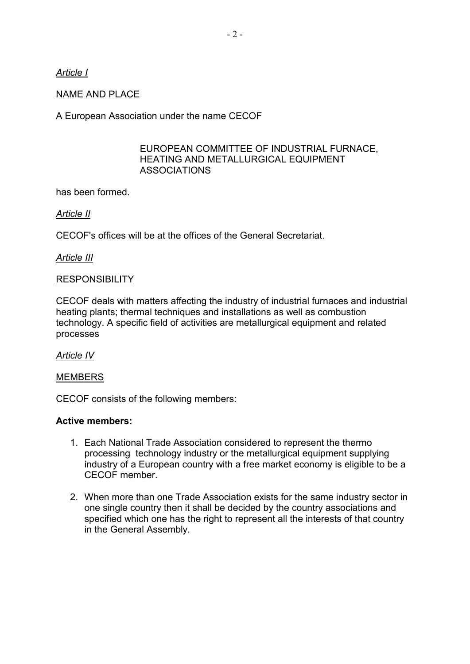# *Article I*

## NAME AND PLACE

A European Association under the name CECOF

## EUROPEAN COMMITTEE OF INDUSTRIAL FURNACE, HEATING AND METALLURGICAL EQUIPMENT ASSOCIATIONS

has been formed.

### *Article II*

CECOF's offices will be at the offices of the General Secretariat.

### *Article III*

### **RESPONSIBILITY**

CECOF deals with matters affecting the industry of industrial furnaces and industrial heating plants; thermal techniques and installations as well as combustion technology. A specific field of activities are metallurgical equipment and related processes

*Article IV*

### MEMBERS

CECOF consists of the following members:

### **Active members:**

- 1. Each National Trade Association considered to represent the thermo processing technology industry or the metallurgical equipment supplying industry of a European country with a free market economy is eligible to be a CECOF member.
- 2. When more than one Trade Association exists for the same industry sector in one single country then it shall be decided by the country associations and specified which one has the right to represent all the interests of that country in the General Assembly.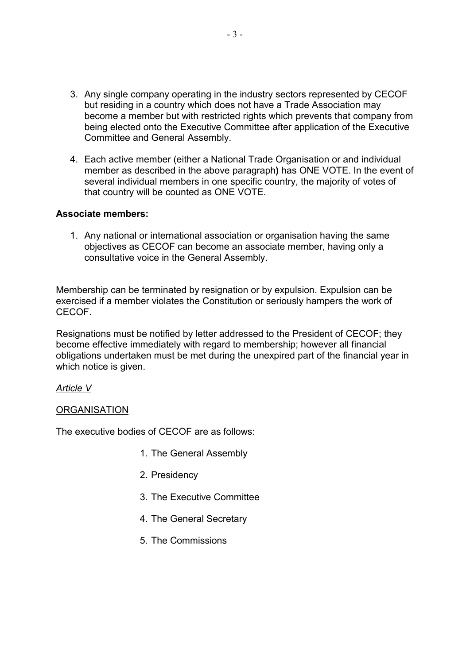- 3. Any single company operating in the industry sectors represented by CECOF but residing in a country which does not have a Trade Association may become a member but with restricted rights which prevents that company from being elected onto the Executive Committee after application of the Executive Committee and General Assembly.
- 4. Each active member (either a National Trade Organisation or and individual member as described in the above paragraph**)** has ONE VOTE. In the event of several individual members in one specific country, the majority of votes of that country will be counted as ONE VOTE.

## **Associate members:**

1. Any national or international association or organisation having the same objectives as CECOF can become an associate member, having only a consultative voice in the General Assembly.

Membership can be terminated by resignation or by expulsion. Expulsion can be exercised if a member violates the Constitution or seriously hampers the work of CECOF.

Resignations must be notified by letter addressed to the President of CECOF; they become effective immediately with regard to membership; however all financial obligations undertaken must be met during the unexpired part of the financial year in which notice is given.

### *Article V*

### **ORGANISATION**

The executive bodies of CECOF are as follows:

- 1. The General Assembly
- 2. Presidency
- 3. The Executive Committee
- 4. The General Secretary
- 5. The Commissions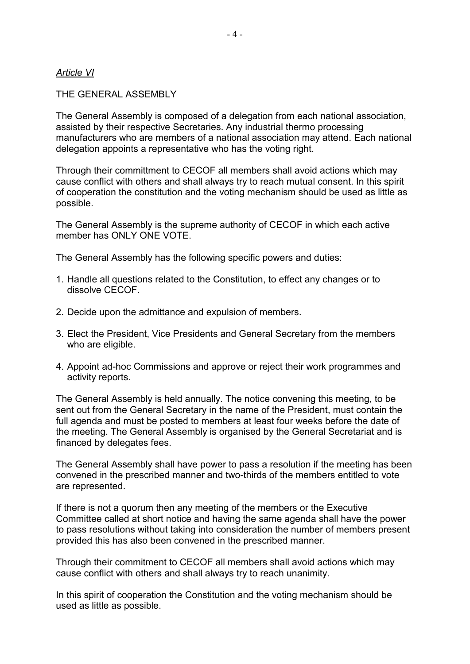## *Article VI*

# THE GENERAL ASSEMBLY

The General Assembly is composed of a delegation from each national association, assisted by their respective Secretaries. Any industrial thermo processing manufacturers who are members of a national association may attend. Each national delegation appoints a representative who has the voting right.

Through their committment to CECOF all members shall avoid actions which may cause conflict with others and shall always try to reach mutual consent. In this spirit of cooperation the constitution and the voting mechanism should be used as little as possible.

The General Assembly is the supreme authority of CECOF in which each active member has ONLY ONE VOTE.

The General Assembly has the following specific powers and duties:

- 1. Handle all questions related to the Constitution, to effect any changes or to dissolve CECOF.
- 2. Decide upon the admittance and expulsion of members.
- 3. Elect the President, Vice Presidents and General Secretary from the members who are eligible.
- 4. Appoint ad-hoc Commissions and approve or reject their work programmes and activity reports.

The General Assembly is held annually. The notice convening this meeting, to be sent out from the General Secretary in the name of the President, must contain the full agenda and must be posted to members at least four weeks before the date of the meeting. The General Assembly is organised by the General Secretariat and is financed by delegates fees.

The General Assembly shall have power to pass a resolution if the meeting has been convened in the prescribed manner and two-thirds of the members entitled to vote are represented.

If there is not a quorum then any meeting of the members or the Executive Committee called at short notice and having the same agenda shall have the power to pass resolutions without taking into consideration the number of members present provided this has also been convened in the prescribed manner.

Through their commitment to CECOF all members shall avoid actions which may cause conflict with others and shall always try to reach unanimity.

In this spirit of cooperation the Constitution and the voting mechanism should be used as little as possible.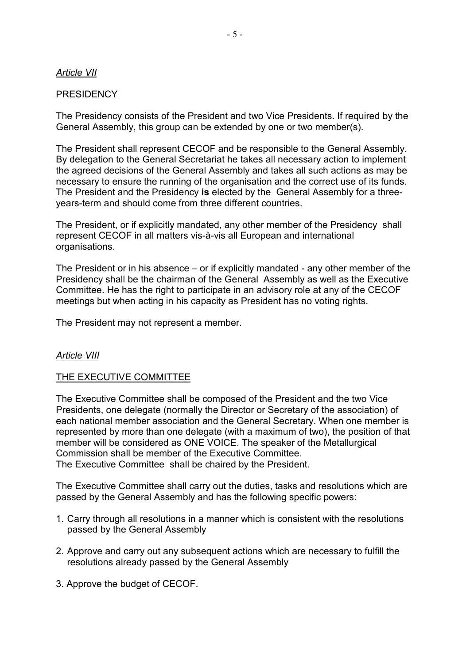# *Article VII*

# **PRESIDENCY**

The Presidency consists of the President and two Vice Presidents. If required by the General Assembly, this group can be extended by one or two member(s).

The President shall represent CECOF and be responsible to the General Assembly. By delegation to the General Secretariat he takes all necessary action to implement the agreed decisions of the General Assembly and takes all such actions as may be necessary to ensure the running of the organisation and the correct use of its funds. The President and the Presidency **is** elected by the General Assembly for a threeyears-term and should come from three different countries.

The President, or if explicitly mandated, any other member of the Presidency shall represent CECOF in all matters vis-à-vis all European and international organisations.

The President or in his absence – or if explicitly mandated - any other member of the Presidency shall be the chairman of the General Assembly as well as the Executive Committee. He has the right to participate in an advisory role at any of the CECOF meetings but when acting in his capacity as President has no voting rights.

The President may not represent a member.

## *Article VIII*

## THE EXECUTIVE COMMITTEE

The Executive Committee shall be composed of the President and the two Vice Presidents, one delegate (normally the Director or Secretary of the association) of each national member association and the General Secretary. When one member is represented by more than one delegate (with a maximum of two), the position of that member will be considered as ONE VOICE. The speaker of the Metallurgical Commission shall be member of the Executive Committee.

The Executive Committee shall be chaired by the President.

The Executive Committee shall carry out the duties, tasks and resolutions which are passed by the General Assembly and has the following specific powers:

- 1. Carry through all resolutions in a manner which is consistent with the resolutions passed by the General Assembly
- 2. Approve and carry out any subsequent actions which are necessary to fulfill the resolutions already passed by the General Assembly
- 3. Approve the budget of CECOF.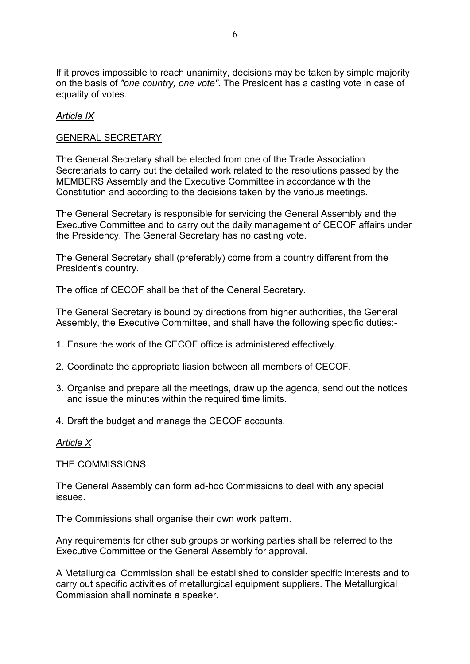If it proves impossible to reach unanimity, decisions may be taken by simple majority on the basis of *"one country, one vote".* The President has a casting vote in case of equality of votes.

## *Article IX*

### GENERAL SECRETARY

The General Secretary shall be elected from one of the Trade Association Secretariats to carry out the detailed work related to the resolutions passed by the MEMBERS Assembly and the Executive Committee in accordance with the Constitution and according to the decisions taken by the various meetings.

The General Secretary is responsible for servicing the General Assembly and the Executive Committee and to carry out the daily management of CECOF affairs under the Presidency. The General Secretary has no casting vote.

The General Secretary shall (preferably) come from a country different from the President's country.

The office of CECOF shall be that of the General Secretary.

The General Secretary is bound by directions from higher authorities, the General Assembly, the Executive Committee, and shall have the following specific duties:-

- 1. Ensure the work of the CECOF office is administered effectively.
- 2. Coordinate the appropriate liasion between all members of CECOF.
- 3. Organise and prepare all the meetings, draw up the agenda, send out the notices and issue the minutes within the required time limits.
- 4. Draft the budget and manage the CECOF accounts.

### *Article X*

### THE COMMISSIONS

The General Assembly can form ad-hoc Commissions to deal with any special issues.

The Commissions shall organise their own work pattern.

Any requirements for other sub groups or working parties shall be referred to the Executive Committee or the General Assembly for approval.

A Metallurgical Commission shall be established to consider specific interests and to carry out specific activities of metallurgical equipment suppliers. The Metallurgical Commission shall nominate a speaker.